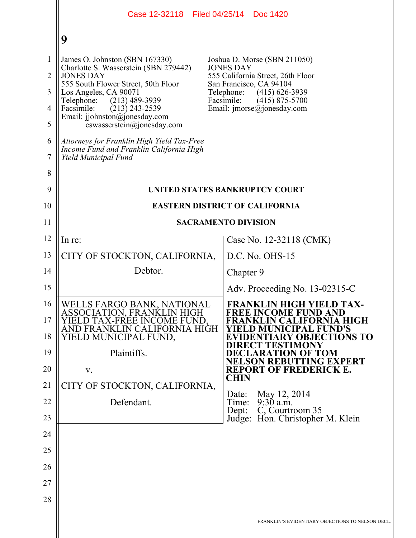|                                                                           | Case 12-32118   Filed 04/25/14                                                                                                                                                                                                                                                                                                                                                                                              | Doc 1420                                                                                                                                                                                                                             |  |  |
|---------------------------------------------------------------------------|-----------------------------------------------------------------------------------------------------------------------------------------------------------------------------------------------------------------------------------------------------------------------------------------------------------------------------------------------------------------------------------------------------------------------------|--------------------------------------------------------------------------------------------------------------------------------------------------------------------------------------------------------------------------------------|--|--|
|                                                                           | 9                                                                                                                                                                                                                                                                                                                                                                                                                           |                                                                                                                                                                                                                                      |  |  |
| $\mathbf{1}$<br>$\overline{2}$<br>3<br>$\overline{4}$<br>5<br>6<br>7<br>8 | James O. Johnston (SBN 167330)<br>Charlotte S. Wasserstein (SBN 279442)<br><b>JONES DAY</b><br>555 South Flower Street, 50th Floor<br>Los Angeles, CA 90071<br>Telephone:<br>$(213)$ 489-3939<br>Facsimile:<br>$(213)$ 243-2539<br>Email: jjohnston@jonesday.com<br>$coswasserstein(\theta)$ ionesday.com<br>Attorneys for Franklin High Yield Tax-Free<br>Income Fund and Franklin California High<br>Yield Municipal Fund | Joshua D. Morse (SBN 211050)<br><b>JONES DAY</b><br>555 California Street, 26th Floor<br>San Francisco, CA 94104<br>$(415)$ 626-3939<br>Telephone:<br>Facsimile:<br>$(415)$ 875-5700<br>Email: $\text{imorse}(\hat{a})$ jonesday.com |  |  |
| 9<br>10                                                                   | UNITED STATES BANKRUPTCY COURT<br><b>EASTERN DISTRICT OF CALIFORNIA</b>                                                                                                                                                                                                                                                                                                                                                     |                                                                                                                                                                                                                                      |  |  |
| 11                                                                        | <b>SACRAMENTO DIVISION</b>                                                                                                                                                                                                                                                                                                                                                                                                  |                                                                                                                                                                                                                                      |  |  |
| 12                                                                        | In re:                                                                                                                                                                                                                                                                                                                                                                                                                      | Case No. 12-32118 (CMK)                                                                                                                                                                                                              |  |  |
| 13                                                                        | CITY OF STOCKTON, CALIFORNIA,                                                                                                                                                                                                                                                                                                                                                                                               | $D.C. No. OHS-15$                                                                                                                                                                                                                    |  |  |
| 14                                                                        | Debtor.                                                                                                                                                                                                                                                                                                                                                                                                                     | Chapter 9                                                                                                                                                                                                                            |  |  |
| 15                                                                        |                                                                                                                                                                                                                                                                                                                                                                                                                             | Adv. Proceeding No. 13-02315-C                                                                                                                                                                                                       |  |  |
| 16<br>17<br>18                                                            | WELLS FARGO BANK, NATIONAL<br>ASSOCIATION, FRANKLIN HIGH<br>YIELD TAX-FRÉE INCOME FUND,<br>AND FRANKLIN CALIFORNIA HIGH<br>YIELD MUNICIPAL FUND,                                                                                                                                                                                                                                                                            | <b>FRANKLIN HIGH YIELD TAX-</b><br><b>FREE INCOME FUND AND</b><br>FRANKLIN CALIFORNIA HIGH<br>YIELD MUNICIPAL FUND'S<br><b>EVIDENTIARY OBJECTIONS TO</b><br>DIRECT TESTIMONY                                                         |  |  |
| 19<br>20                                                                  | Plaintiffs.<br>V.                                                                                                                                                                                                                                                                                                                                                                                                           | <b>DECLARATION OF TOM</b><br>NELSON REBUTTING EXPERT<br><b>REPORT OF FREDERICK E.</b>                                                                                                                                                |  |  |
| 21                                                                        | CITY OF STOCKTON, CALIFORNIA,                                                                                                                                                                                                                                                                                                                                                                                               | <b>CHIN</b>                                                                                                                                                                                                                          |  |  |
| 22                                                                        | Defendant.                                                                                                                                                                                                                                                                                                                                                                                                                  | May 12, 2014<br>Date:<br>$9:30$ a.m.<br>Time:                                                                                                                                                                                        |  |  |
| 23                                                                        |                                                                                                                                                                                                                                                                                                                                                                                                                             | C, Courtroom 35<br>Dep:<br>Judge: Hon. Christopher M. Klein                                                                                                                                                                          |  |  |
| 24                                                                        |                                                                                                                                                                                                                                                                                                                                                                                                                             |                                                                                                                                                                                                                                      |  |  |
| 25                                                                        |                                                                                                                                                                                                                                                                                                                                                                                                                             |                                                                                                                                                                                                                                      |  |  |
| 26                                                                        |                                                                                                                                                                                                                                                                                                                                                                                                                             |                                                                                                                                                                                                                                      |  |  |
| 27                                                                        |                                                                                                                                                                                                                                                                                                                                                                                                                             |                                                                                                                                                                                                                                      |  |  |
| 28                                                                        |                                                                                                                                                                                                                                                                                                                                                                                                                             |                                                                                                                                                                                                                                      |  |  |
|                                                                           |                                                                                                                                                                                                                                                                                                                                                                                                                             | FRANKLIN'S EVIDENTIARY OBJECTIONS TO NELSON DECL.                                                                                                                                                                                    |  |  |
|                                                                           |                                                                                                                                                                                                                                                                                                                                                                                                                             |                                                                                                                                                                                                                                      |  |  |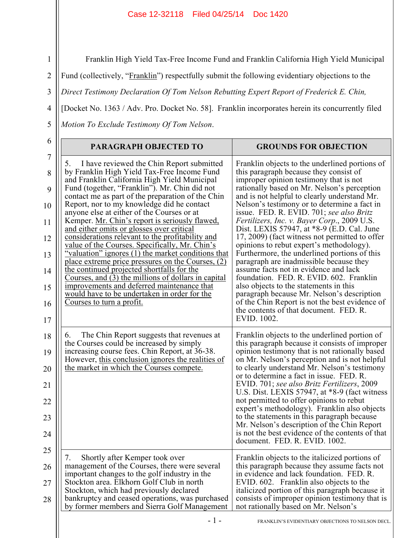Franklin High Yield Tax-Free Income Fund and Franklin California High Yield Municipal

Fund (collectively, "Franklin") respectfully submit the following evidentiary objections to the

3 *Direct Testimony Declaration Of Tom Nelson Rebutting Expert Report of Frederick E. Chin,* 

[Docket No. 1363 / Adv. Pro. Docket No. 58]. Franklin incorporates herein its concurrently filed

*Motion To Exclude Testimony Of Tom Nelson*.

1

2

4

5

| Franklin objects to the underlined portions of<br>this paragraph because they consist of<br>improper opinion testimony that is not<br>rationally based on Mr. Nelson's perception<br>and is not helpful to clearly understand Mr.<br>Nelson's testimony or to determine a fact in<br>issue. FED. R. EVID. 701; see also Britz<br>Fertilizers, Inc. v. Bayer Corp., 2009 U.S.<br>Dist. LEXIS 57947, at *8-9 (E.D. Cal. June<br>17, 2009) (fact witness not permitted to offer                                                                                                                                                                                                  |
|-------------------------------------------------------------------------------------------------------------------------------------------------------------------------------------------------------------------------------------------------------------------------------------------------------------------------------------------------------------------------------------------------------------------------------------------------------------------------------------------------------------------------------------------------------------------------------------------------------------------------------------------------------------------------------|
| opinions to rebut expert's methodology).<br>Furthermore, the underlined portions of this<br>paragraph are inadmissible because they<br>assume facts not in evidence and lack<br>foundation. FED. R. EVID. 602. Franklin<br>also objects to the statements in this<br>paragraph because Mr. Nelson's description<br>of the Chin Report is not the best evidence of<br>the contents of that document. FED, R.<br>EVID. 1002.                                                                                                                                                                                                                                                    |
| Franklin objects to the underlined portion of<br>this paragraph because it consists of improper<br>opinion testimony that is not rationally based<br>on Mr. Nelson's perception and is not helpful<br>to clearly understand Mr. Nelson's testimony<br>or to determine a fact in issue. FED. R.<br>EVID. 701; see also Britz Fertilizers, 2009<br>U.S. Dist. LEXIS 57947, at *8-9 (fact witness<br>not permitted to offer opinions to rebut<br>expert's methodology). Franklin also objects<br>to the statements in this paragraph because<br>Mr. Nelson's description of the Chin Report<br>is not the best evidence of the contents of that<br>document. FED. R. EVID. 1002. |
| Franklin objects to the italicized portions of<br>this paragraph because they assume facts not<br>in evidence and lack foundation. FED. R.<br>EVID. 602. Franklin also objects to the<br>italicized portion of this paragraph because it<br>consists of improper opinion testimony that is<br>not rationally based on Mr. Nelson's                                                                                                                                                                                                                                                                                                                                            |
|                                                                                                                                                                                                                                                                                                                                                                                                                                                                                                                                                                                                                                                                               |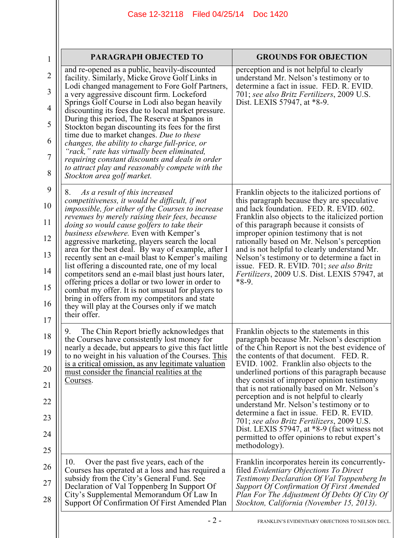| 1              | PARAGRAPH OBJECTED TO                                                                                       | <b>GROUNDS FOR OBJECTION</b>                                                                                                    |
|----------------|-------------------------------------------------------------------------------------------------------------|---------------------------------------------------------------------------------------------------------------------------------|
| $\overline{2}$ | and re-opened as a public, heavily-discounted<br>facility. Similarly, Micke Grove Golf Links in             | perception and is not helpful to clearly<br>understand Mr. Nelson's testimony or to<br>determine a fact in issue. FED, R. EVID. |
| 3              | Lodi changed management to Fore Golf Partners,<br>a very aggressive discount firm. Lockeford                | 701; see also Britz Fertilizers, 2009 U.S.                                                                                      |
| 4              | Springs Golf Course in Lodi also began heavily<br>discounting its fees due to local market pressure.        | Dist. LEXIS 57947, at *8-9.                                                                                                     |
| 5              | During this period, The Reserve at Spanos in<br>Stockton began discounting its fees for the first           |                                                                                                                                 |
| 6              | time due to market changes. Due to these<br>changes, the ability to charge full-price, or                   |                                                                                                                                 |
| 7              | "rack," rate has virtually been eliminated,<br>requiring constant discounts and deals in order              |                                                                                                                                 |
| 8              | to attract play and reasonably compete with the<br>Stockton area golf market.                               |                                                                                                                                 |
| 9              | As a result of this increased<br>8.                                                                         | Franklin objects to the italicized portions of                                                                                  |
| 10             | competitiveness, it would be difficult, if not<br><i>impossible, for either of the Courses to increase</i>  | this paragraph because they are speculative<br>and lack foundation. FED. R. EVID. 602.                                          |
| 11             | revenues by merely raising their fees, because<br>doing so would cause golfers to take their                | Franklin also objects to the italicized portion<br>of this paragraph because it consists of                                     |
| 12             | business elsewhere. Even with Kemper's<br>aggressive marketing, players search the local                    | improper opinion testimony that is not<br>rationally based on Mr. Nelson's perception                                           |
| 13             | area for the best deal. By way of example, after I<br>recently sent an e-mail blast to Kemper's mailing     | and is not helpful to clearly understand Mr.<br>Nelson's testimony or to determine a fact in                                    |
| 14             | list offering a discounted rate, one of my local<br>competitors send an e-mail blast just hours later,      | issue. FED. R. EVID. 701; see also Britz<br><i>Fertilizers</i> , 2009 U.S. Dist. LEXIS 57947, at                                |
| 15             | offering prices a dollar or two lower in order to<br>combat my offer. It is not unusual for players to      | $*8-9.$                                                                                                                         |
| 16             | bring in offers from my competitors and state<br>they will play at the Courses only if we match             |                                                                                                                                 |
| 17             | their offer.                                                                                                |                                                                                                                                 |
| 18             | The Chin Report briefly acknowledges that<br>9.<br>the Courses have consistently lost money for             | Franklin objects to the statements in this<br>paragraph because Mr. Nelson's description                                        |
| 19             | nearly a decade, but appears to give this fact little<br>to no weight in his valuation of the Courses. This | of the Chin Report is not the best evidence of<br>the contents of that document. FED. R.                                        |
| 20             | is a critical omission, as any legitimate valuation<br>must consider the financial realities at the         | EVID. 1002. Franklin also objects to the<br>underlined portions of this paragraph because                                       |
| 21             | Courses.                                                                                                    | they consist of improper opinion testimony<br>that is not rationally based on Mr. Nelson's                                      |
| 22             |                                                                                                             | perception and is not helpful to clearly<br>understand Mr. Nelson's testimony or to                                             |
| 23             |                                                                                                             | determine a fact in issue. FED. R. EVID.<br>701; see also Britz Fertilizers, 2009 U.S.                                          |
| 24             |                                                                                                             | Dist. LEXIS 57947, at $*8-9$ (fact witness not<br>permitted to offer opinions to rebut expert's                                 |
| 25             |                                                                                                             | methodology).                                                                                                                   |
| 26             | 10.<br>Over the past five years, each of the<br>Courses has operated at a loss and has required a           | Franklin incorporates herein its concurrently-<br>filed Evidentiary Objections To Direct                                        |
| 27             | subsidy from the City's General Fund. See<br>Declaration of Val Toppenberg In Support Of                    | Testimony Declaration Of Val Toppenberg In<br><b>Support Of Confirmation Of First Amended</b>                                   |
| 28             | City's Supplemental Memorandum Of Law In<br>Support Of Confirmation Of First Amended Plan                   | Plan For The Adjustment Of Debts Of City Of<br>Stockton, California (November 15, 2013).                                        |
|                |                                                                                                             |                                                                                                                                 |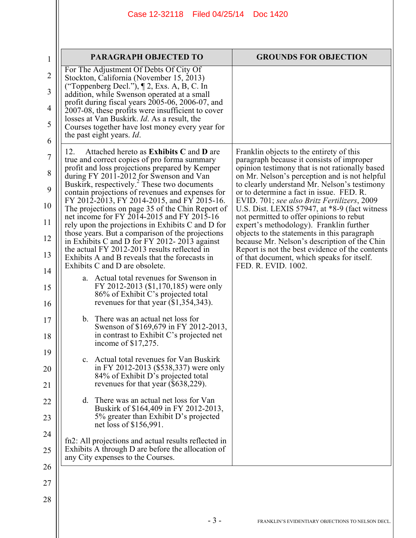| $\mathbf{1}$   | <b>PARAGRAPH OBJECTED TO</b>                                                                                          | <b>GROUNDS FOR OBJECTION</b>                                                                    |
|----------------|-----------------------------------------------------------------------------------------------------------------------|-------------------------------------------------------------------------------------------------|
| $\overline{2}$ | For The Adjustment Of Debts Of City Of<br>Stockton, California (November 15, 2013)                                    |                                                                                                 |
| 3              | ("Toppenberg Decl."), $\P$ 2, Exs. A, B, C. In<br>addition, while Swenson operated at a small                         |                                                                                                 |
| $\overline{4}$ | profit during fiscal years 2005-06, 2006-07, and<br>2007-08, these profits were insufficient to cover                 |                                                                                                 |
| 5              | losses at Van Buskirk. <i>Id.</i> As a result, the<br>Courses together have lost money every year for                 |                                                                                                 |
| 6              | the past eight years. Id.                                                                                             |                                                                                                 |
| 7              | Attached hereto as Exhibits C and D are<br>12.<br>true and correct copies of pro forma summary                        | Franklin objects to the entirety of this<br>paragraph because it consists of improper           |
| 8              | profit and loss projections prepared by Kemper<br>during FY 2011-2012 for Swenson and Van                             | opinion testimony that is not rationally based<br>on Mr. Nelson's perception and is not helpful |
| 9              | Buskirk, respectively. <sup>2</sup> These two documents<br>contain projections of revenues and expenses for           | to clearly understand Mr. Nelson's testimony<br>or to determine a fact in issue. FED. R.        |
| 10             | FY 2012-2013, FY 2014-2015, and FY 2015-16.<br>The projections on page 35 of the Chin Report of                       | EVID. 701; see also Britz Fertilizers, 2009<br>U.S. Dist. LEXIS 57947, at $*8-9$ (fact witness  |
| 11             | net income for FY 2014-2015 and FY 2015-16<br>rely upon the projections in Exhibits C and D for                       | not permitted to offer opinions to rebut<br>expert's methodology). Franklin further             |
| 12             | those years. But a comparison of the projections<br>in Exhibits C and D for FY 2012-2013 against                      | objects to the statements in this paragraph<br>because Mr. Nelson's description of the Chin     |
| 13             | the actual FY 2012-2013 results reflected in<br>Exhibits A and B reveals that the forecasts in                        | Report is not the best evidence of the contents<br>of that document, which speaks for itself.   |
| 14             | Exhibits C and D are obsolete.                                                                                        | FED. R. EVID. 1002.                                                                             |
| 15             | a. Actual total revenues for Swenson in<br>FY 2012-2013 (\$1,170,185) were only<br>86% of Exhibit C's projected total |                                                                                                 |
| 16             | revenues for that year $(\$1,354,343)$ .                                                                              |                                                                                                 |
| 17             | b. There was an actual net loss for<br>Swenson of \$169,679 in FY 2012-2013,                                          |                                                                                                 |
| 18             | in contrast to Exhibit C's projected net<br>income of \$17,275.                                                       |                                                                                                 |
| 19             | c. Actual total revenues for Van Buskirk                                                                              |                                                                                                 |
| 20             | in FY 2012-2013 (\$538,337) were only<br>84% of Exhibit D's projected total                                           |                                                                                                 |
| 21             | revenues for that year (\$638,229).                                                                                   |                                                                                                 |
| 22             | d. There was an actual net loss for Van<br>Buskirk of \$164,409 in FY 2012-2013,                                      |                                                                                                 |
| 23             | 5% greater than Exhibit D's projected<br>net loss of \$156,991.                                                       |                                                                                                 |
| 24             | fn2: All projections and actual results reflected in                                                                  |                                                                                                 |
| 25             | Exhibits A through D are before the allocation of<br>any City expenses to the Courses.                                |                                                                                                 |
| 26             |                                                                                                                       |                                                                                                 |
| 27             |                                                                                                                       |                                                                                                 |
| 28             |                                                                                                                       |                                                                                                 |
|                |                                                                                                                       |                                                                                                 |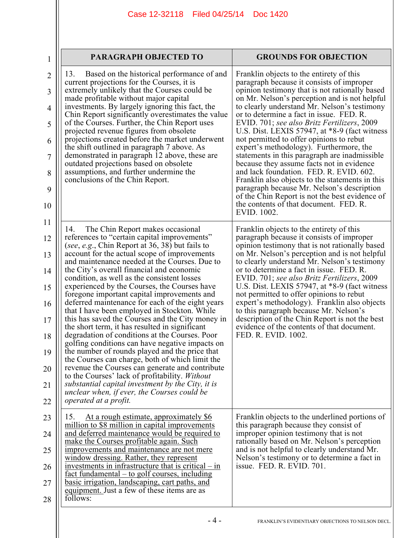| 1                   | <b>PARAGRAPH OBJECTED TO</b>                                                                                                                       | <b>GROUNDS FOR OBJECTION</b>                                                                                                              |  |  |
|---------------------|----------------------------------------------------------------------------------------------------------------------------------------------------|-------------------------------------------------------------------------------------------------------------------------------------------|--|--|
| $\overline{2}$<br>3 | Based on the historical performance of and<br>13.<br>current projections for the Courses, it is<br>extremely unlikely that the Courses could be    | Franklin objects to the entirety of this<br>paragraph because it consists of improper<br>opinion testimony that is not rationally based   |  |  |
| $\overline{4}$      | made profitable without major capital<br>investments. By largely ignoring this fact, the<br>Chin Report significantly overestimates the value      | on Mr. Nelson's perception and is not helpful<br>to clearly understand Mr. Nelson's testimony<br>or to determine a fact in issue. FED. R. |  |  |
| 5                   | of the Courses. Further, the Chin Report uses<br>projected revenue figures from obsolete                                                           | EVID. 701; see also Britz Fertilizers, 2009<br>U.S. Dist. LEXIS 57947, at *8-9 (fact witness                                              |  |  |
| 6                   | projections created before the market underwent<br>the shift outlined in paragraph 7 above. As                                                     | not permitted to offer opinions to rebut<br>expert's methodology). Furthermore, the                                                       |  |  |
| 7                   | demonstrated in paragraph 12 above, these are<br>outdated projections based on obsolete                                                            | statements in this paragraph are inadmissible<br>because they assume facts not in evidence                                                |  |  |
| 8<br>9              | assumptions, and further undermine the<br>conclusions of the Chin Report.                                                                          | and lack foundation. FED. R. EVID. 602.<br>Franklin also objects to the statements in this<br>paragraph because Mr. Nelson's description  |  |  |
| 10                  |                                                                                                                                                    | of the Chin Report is not the best evidence of<br>the contents of that document. FED. R.<br>EVID. 1002.                                   |  |  |
| 11                  | The Chin Report makes occasional<br>14.                                                                                                            | Franklin objects to the entirety of this                                                                                                  |  |  |
| 12                  | references to "certain capital improvements"<br>(see, e.g., Chin Report at 36, 38) but fails to                                                    | paragraph because it consists of improper<br>opinion testimony that is not rationally based                                               |  |  |
| 13                  | account for the actual scope of improvements<br>and maintenance needed at the Courses. Due to                                                      | on Mr. Nelson's perception and is not helpful<br>to clearly understand Mr. Nelson's testimony                                             |  |  |
| 14                  | the City's overall financial and economic<br>condition, as well as the consistent losses                                                           | or to determine a fact in issue. FED. R.<br>EVID. 701; see also Britz Fertilizers, 2009                                                   |  |  |
| 15                  | experienced by the Courses, the Courses have<br>foregone important capital improvements and<br>deferred maintenance for each of the eight years    | U.S. Dist. LEXIS 57947, at *8-9 (fact witness<br>not permitted to offer opinions to rebut<br>expert's methodology). Franklin also objects |  |  |
| 16<br>17            | that I have been employed in Stockton. While<br>this has saved the Courses and the City money in                                                   | to this paragraph because Mr. Nelson's<br>description of the Chin Report is not the best                                                  |  |  |
| 18                  | the short term, it has resulted in significant<br>degradation of conditions at the Courses. Poor                                                   | evidence of the contents of that document.<br>FED. R. EVID. 1002.                                                                         |  |  |
| 19                  | golfing conditions can have negative impacts on<br>the number of rounds played and the price that                                                  |                                                                                                                                           |  |  |
| 20                  | the Courses can charge, both of which limit the<br>revenue the Courses can generate and contribute                                                 |                                                                                                                                           |  |  |
| 21                  | to the Courses' lack of profitability. Without<br>substantial capital investment by the City, it is<br>unclear when, if ever, the Courses could be |                                                                                                                                           |  |  |
| 22                  | operated at a profit.                                                                                                                              |                                                                                                                                           |  |  |
| 23                  | 15.<br>At a rough estimate, approximately \$6<br>million to \$8 million in capital improvements                                                    | Franklin objects to the underlined portions of<br>this paragraph because they consist of                                                  |  |  |
| 24                  | and deferred maintenance would be required to<br>make the Courses profitable again. Such                                                           | improper opinion testimony that is not<br>rationally based on Mr. Nelson's perception                                                     |  |  |
| 25                  | improvements and maintenance are not mere<br>window dressing. Rather, they represent                                                               | and is not helpful to clearly understand Mr.<br>Nelson's testimony or to determine a fact in                                              |  |  |
| 26                  | investments in infrastructure that is critical $-$ in<br>fact fundamental – to golf courses, including                                             | issue. FED. R. EVID. 701.                                                                                                                 |  |  |
| 27                  | basic irrigation, landscaping, cart paths, and<br>equipment. Just a few of these items are as                                                      |                                                                                                                                           |  |  |
| 28                  | follows:                                                                                                                                           |                                                                                                                                           |  |  |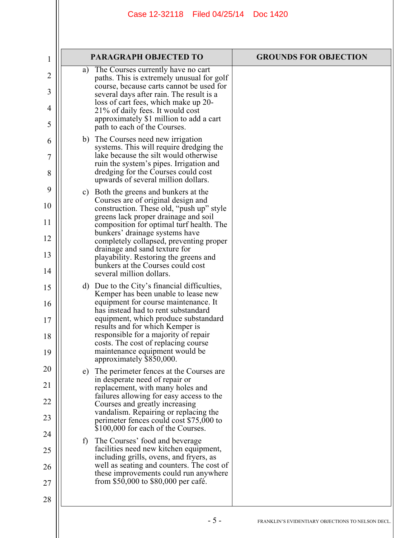| $\mathbf 1$    |              | PARAGRAPH OBJECTED TO                                                                                      | <b>GROUNDS FOR OBJECTION</b> |
|----------------|--------------|------------------------------------------------------------------------------------------------------------|------------------------------|
| $\overline{2}$ | a)           | The Courses currently have no cart<br>paths. This is extremely unusual for golf                            |                              |
| 3              |              | course, because carts cannot be used for<br>several days after rain. The result is a                       |                              |
| 4              |              | loss of cart fees, which make up 20-<br>21% of daily fees. It would cost                                   |                              |
| 5              |              | approximately \$1 million to add a cart<br>path to each of the Courses.                                    |                              |
| 6              |              | b) The Courses need new irrigation<br>systems. This will require dredging the                              |                              |
| 7              |              | lake because the silt would otherwise<br>ruin the system's pipes. Irrigation and                           |                              |
| 8              |              | dredging for the Courses could cost<br>upwards of several million dollars.                                 |                              |
| 9              |              | c) Both the greens and bunkers at the                                                                      |                              |
| 10             |              | Courses are of original design and<br>construction. These old, "push up" style                             |                              |
| 11             |              | greens lack proper drainage and soil<br>composition for optimal turf health. The                           |                              |
| 12             |              | bunkers' drainage systems have<br>completely collapsed, preventing proper<br>drainage and sand texture for |                              |
| 13             |              | playability. Restoring the greens and<br>bunkers at the Courses could cost                                 |                              |
| 14             |              | several million dollars.                                                                                   |                              |
| 15             |              | d) Due to the City's financial difficulties,<br>Kemper has been unable to lease new                        |                              |
| 16             |              | equipment for course maintenance. It<br>has instead had to rent substandard                                |                              |
| 17             |              | equipment, which produce substandard<br>results and for which Kemper is                                    |                              |
| 18             |              | responsible for a majority of repair<br>costs. The cost of replacing course                                |                              |
| 19             |              | maintenance equipment would be<br>approximately \$850,000.                                                 |                              |
| 20             |              | e) The perimeter fences at the Courses are<br>in desperate need of repair or                               |                              |
| 21             |              | replacement, with many holes and<br>failures allowing for easy access to the                               |                              |
| 22             |              | Courses and greatly increasing<br>vandalism. Repairing or replacing the                                    |                              |
| 23             |              | perimeter fences could cost \$75,000 to<br>\$100,000 for each of the Courses.                              |                              |
| 24             | $\mathbf{f}$ | The Courses' food and beverage                                                                             |                              |
| 25             |              | facilities need new kitchen equipment,<br>including grills, ovens, and fryers, as                          |                              |
| 26             |              | well as seating and counters. The cost of<br>these improvements could run anywhere                         |                              |
| 27             |              | from \$50,000 to \$80,000 per café.                                                                        |                              |
| 28             |              |                                                                                                            |                              |
|                |              |                                                                                                            |                              |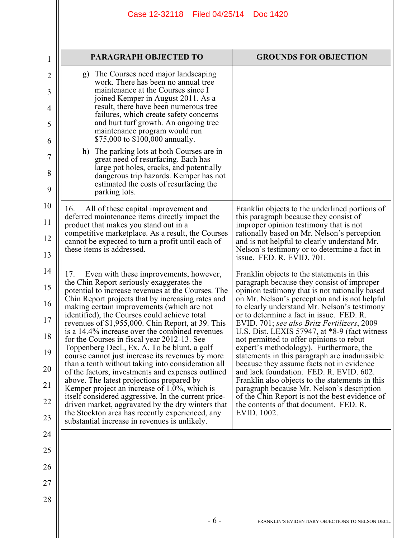| 1        | <b>PARAGRAPH OBJECTED TO</b>                                                                                                                                                                       | <b>GROUNDS FOR OBJECTION</b>                                                                                                                                                                  |
|----------|----------------------------------------------------------------------------------------------------------------------------------------------------------------------------------------------------|-----------------------------------------------------------------------------------------------------------------------------------------------------------------------------------------------|
| 2        | g) The Courses need major landscaping<br>work. There has been no annual tree                                                                                                                       |                                                                                                                                                                                               |
| 3        | maintenance at the Courses since I<br>joined Kemper in August 2011. As a                                                                                                                           |                                                                                                                                                                                               |
| 4        | result, there have been numerous tree<br>failures, which create safety concerns                                                                                                                    |                                                                                                                                                                                               |
| 5        | and hurt turf growth. An ongoing tree<br>maintenance program would run                                                                                                                             |                                                                                                                                                                                               |
| 6        | \$75,000 to \$100,000 annually.                                                                                                                                                                    |                                                                                                                                                                                               |
| 7        | h) The parking lots at both Courses are in<br>great need of resurfacing. Each has                                                                                                                  |                                                                                                                                                                                               |
| 8<br>9   | large pot holes, cracks, and potentially<br>dangerous trip hazards. Kemper has not<br>estimated the costs of resurfacing the                                                                       |                                                                                                                                                                                               |
|          | parking lots.                                                                                                                                                                                      |                                                                                                                                                                                               |
| 10       | All of these capital improvement and<br>16.<br>deferred maintenance items directly impact the                                                                                                      | Franklin objects to the underlined portions of<br>this paragraph because they consist of                                                                                                      |
| 11       | product that makes you stand out in a<br>competitive marketplace. As a result, the Courses                                                                                                         | improper opinion testimony that is not<br>rationally based on Mr. Nelson's perception                                                                                                         |
| 12<br>13 | <u>cannot be expected to turn a profit until each of</u><br>these items is addressed.                                                                                                              | and is not helpful to clearly understand Mr.<br>Nelson's testimony or to determine a fact in<br>issue. FED. R. EVID. 701.                                                                     |
| 14       | Even with these improvements, however,<br>17.                                                                                                                                                      | Franklin objects to the statements in this                                                                                                                                                    |
| 15<br>16 | the Chin Report seriously exaggerates the<br>potential to increase revenues at the Courses. The<br>Chin Report projects that by increasing rates and<br>making certain improvements (which are not | paragraph because they consist of improper<br>opinion testimony that is not rationally based<br>on Mr. Nelson's perception and is not helpful<br>to clearly understand Mr. Nelson's testimony |
| 17       | identified), the Courses could achieve total<br>revenues of \$1,955,000. Chin Report, at 39. This<br>is a 14.4% increase over the combined revenues                                                | or to determine a fact in issue. FED. R.<br>EVID. 701; see also Britz Fertilizers, 2009<br>U.S. Dist. LEXIS 57947, at $*8-9$ (fact witness                                                    |
| 18       | for the Courses in fiscal year 2012-13. See<br>Toppenberg Decl., Ex. A. To be blunt, a golf                                                                                                        | not permitted to offer opinions to rebut<br>expert's methodology). Furthermore, the                                                                                                           |
| 19<br>20 | course cannot just increase its revenues by more<br>than a tenth without taking into consideration all                                                                                             | statements in this paragraph are inadmissible.<br>because they assume facts not in evidence                                                                                                   |
| 21       | of the factors, investments and expenses outlined<br>above. The latest projections prepared by<br>Kemper project an increase of $1.0\%$ , which is                                                 | and lack foundation. FED. R. EVID. 602.<br>Franklin also objects to the statements in this<br>paragraph because Mr. Nelson's description                                                      |
| 22       | itself considered aggressive. In the current price-<br>driven market, aggravated by the dry winters that                                                                                           | of the Chin Report is not the best evidence of<br>the contents of that document. FED. R.                                                                                                      |
| 23       | the Stockton area has recently experienced, any<br>substantial increase in revenues is unlikely.                                                                                                   | EVID. 1002.                                                                                                                                                                                   |
| 24       |                                                                                                                                                                                                    |                                                                                                                                                                                               |
| 25       |                                                                                                                                                                                                    |                                                                                                                                                                                               |
| 26       |                                                                                                                                                                                                    |                                                                                                                                                                                               |
| 27       |                                                                                                                                                                                                    |                                                                                                                                                                                               |
| 28       |                                                                                                                                                                                                    |                                                                                                                                                                                               |
|          | $-6-$                                                                                                                                                                                              | FRANKLIN'S EVIDENTIARY OBJECTIONS TO NELSON DECL.                                                                                                                                             |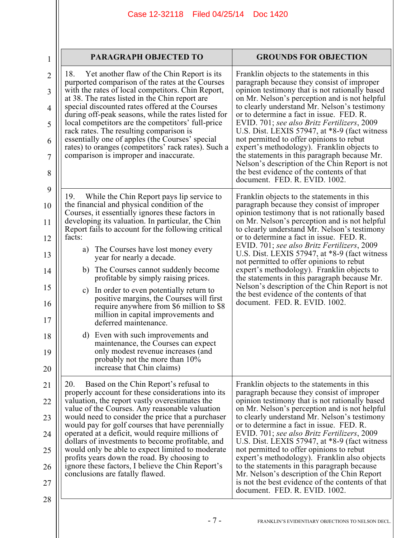| PARAGRAPH OBJECTED TO                                                                                                                                                                                                                                                                                                                                                                                                                                                                                                                                                                                                                                                                                                                                                                                                                      | <b>GROUNDS FOR OBJECTION</b>                                                                                                                                                                                                                                                                                                                                                                                                                                                                                                                                                                                                                                             |
|--------------------------------------------------------------------------------------------------------------------------------------------------------------------------------------------------------------------------------------------------------------------------------------------------------------------------------------------------------------------------------------------------------------------------------------------------------------------------------------------------------------------------------------------------------------------------------------------------------------------------------------------------------------------------------------------------------------------------------------------------------------------------------------------------------------------------------------------|--------------------------------------------------------------------------------------------------------------------------------------------------------------------------------------------------------------------------------------------------------------------------------------------------------------------------------------------------------------------------------------------------------------------------------------------------------------------------------------------------------------------------------------------------------------------------------------------------------------------------------------------------------------------------|
| Yet another flaw of the Chin Report is its<br>18.<br>purported comparison of the rates at the Courses<br>with the rates of local competitors. Chin Report,<br>at 38. The rates listed in the Chin report are<br>special discounted rates offered at the Courses<br>during off-peak seasons, while the rates listed for<br>local competitors are the competitors' full-price<br>rack rates. The resulting comparison is<br>essentially one of apples (the Courses' special<br>rates) to oranges (competitors' rack rates). Such a<br>comparison is improper and inaccurate.                                                                                                                                                                                                                                                                 | Franklin objects to the statements in this<br>paragraph because they consist of improper<br>opinion testimony that is not rationally based<br>on Mr. Nelson's perception and is not helpful<br>to clearly understand Mr. Nelson's testimony<br>or to determine a fact in issue. FED. R.<br>EVID. 701; see also Britz Fertilizers, 2009<br>U.S. Dist. LEXIS 57947, at $*8-9$ (fact witness<br>not permitted to offer opinions to rebut<br>expert's methodology). Franklin objects to<br>the statements in this paragraph because Mr.<br>Nelson's description of the Chin Report is not<br>the best evidence of the contents of that<br>document. FED. R. EVID. 1002.      |
| While the Chin Report pays lip service to<br>19.<br>the financial and physical condition of the<br>Courses, it essentially ignores these factors in<br>developing its valuation. In particular, the Chin<br>Report fails to account for the following critical<br>facts:<br>The Courses have lost money every<br>a)<br>year for nearly a decade.<br>b) The Courses cannot suddenly become<br>profitable by simply raising prices.<br>In order to even potentially return to<br>$\mathbf{c})$<br>positive margins, the Courses will first<br>require anywhere from \$6 million to \$8<br>million in capital improvements and<br>deferred maintenance.<br>Even with such improvements and<br>d)<br>maintenance, the Courses can expect<br>only modest revenue increases (and<br>probably not the more than 10%<br>increase that Chin claims) | Franklin objects to the statements in this<br>paragraph because they consist of improper<br>opinion testimony that is not rationally based<br>on Mr. Nelson's perception and is not helpful<br>to clearly understand Mr. Nelson's testimony<br>or to determine a fact in issue. FED. R.<br>EVID. 701; see also Britz Fertilizers, 2009<br>U.S. Dist. LEXIS 57947, at $*8-9$ (fact witness<br>not permitted to offer opinions to rebut<br>expert's methodology). Franklin objects to<br>the statements in this paragraph because Mr.<br>Nelson's description of the Chin Report is not<br>the best evidence of the contents of that<br>document. FED. R. EVID. 1002.      |
| 20.<br>Based on the Chin Report's refusal to<br>properly account for these considerations into its<br>valuation, the report vastly overestimates the<br>value of the Courses. Any reasonable valuation<br>would need to consider the price that a purchaser<br>would pay for golf courses that have perennially<br>operated at a deficit, would require millions of<br>dollars of investments to become profitable, and<br>would only be able to expect limited to moderate<br>profits years down the road. By choosing to<br>ignore these factors, I believe the Chin Report's<br>conclusions are fatally flawed.                                                                                                                                                                                                                         | Franklin objects to the statements in this<br>paragraph because they consist of improper<br>opinion testimony that is not rationally based<br>on Mr. Nelson's perception and is not helpful<br>to clearly understand Mr. Nelson's testimony<br>or to determine a fact in issue. FED. R.<br>EVID. 701; see also Britz Fertilizers, 2009<br>U.S. Dist. LEXIS 57947, at $*8-9$ (fact witness<br>not permitted to offer opinions to rebut<br>expert's methodology). Franklin also objects<br>to the statements in this paragraph because<br>Mr. Nelson's description of the Chin Report<br>is not the best evidence of the contents of that<br>document. FED. R. EVID. 1002. |